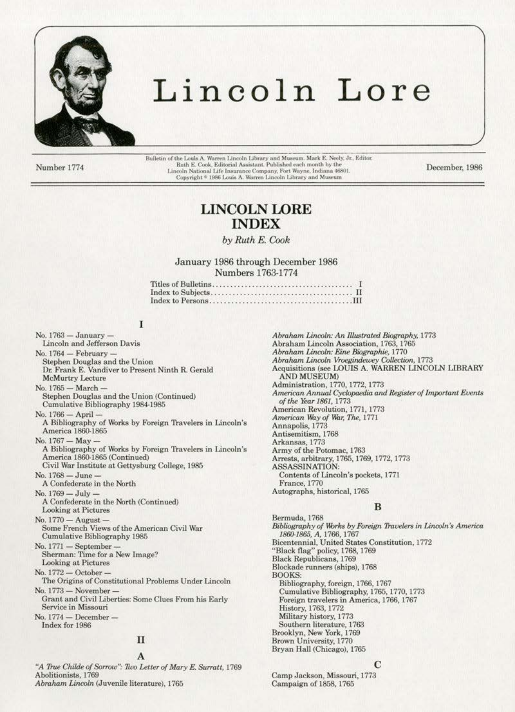

# Lincoln Lore

Number 1774

Bulletin of the Louis A. Warren Lincoln Library and Museum. Mark E. Neely, Jr., Editor.<br>Ruth E. Cook, Editorial Assistant. Published each month by the Lincoln National Life Insurance Company, Fort Wayne, Indiana 46801. Copyright <sup>6</sup> 1986 Louis A. Warren Lincoln Library and Museum

December, 1986

# **LINCOLN LORE INDEX**

# by Ruth E. Cook

# January 1986 through December 1986 Numbers 1763-1774

# I

No. 1763 - January -Lincoln and Jefferson Davis No. 1764 - February -Stephen Douglas and the Union Dr. Frank E. Vandiver to Present Ninth R. Gerald **McMurtry Lecture** No. 1765 - March -Stephen Douglas and the Union (Continued) Cumulative Bibliography 1984-1985 No. 1766 - April -A Bibliography of Works by Foreign Travelers in Lincoln's America 1860-1865 No. 1767 - May -A Bibliography of Works by Foreign Travelers in Lincoln's America 1860-1865 (Continued) Civil War Institute at Gettysburg College, 1985 No. 1768 - June -A Confederate in the North No. 1769 - July A Confederate in the North (Continued) **Looking at Pictures** No. 1770 - August -Some French Views of the American Civil War Cumulative Bibliography 1985 No. 1771 - September Sherman: Time for a New Image? **Looking at Pictures** No. 1772 - October -The Origins of Constitutional Problems Under Lincoln No. 1773 - November -Grant and Civil Liberties: Some Clues From his Early Service in Missouri No. 1774 - December-Index for 1986  $\mathbf{I}$ 

# $\mathbf{A}$

"A True Childe of Sorrow": Two Letter of Mary E. Surratt, 1769 Abolitionists, 1769 Abraham Lincoln (Juvenile literature), 1765

Abraham Lincoln: An Illustrated Biography, 1773 Abraham Lincoln Association, 1763, 1765 Abraham Lincoln: Eine Biographie, 1770 Abraham Lincoln Vroegindewey Collection, 1773 Acquisitions (see LOUIS A. WARREN LINCOLN LIBRARY AND MUSEUM) Administration, 1770, 1772, 1773<br>American Annual Cyclopaedia and Register of Important Events of the Year 1861, 1773 American Revolution, 1771, 1773 American Way of War, The, 1771 Annapolis, 1773 Antisemitism, 1768 Arkansas, 1773 Army of the Potomac, 1763 Arrests, arbitrary, 1765, 1769, 1772, 1773 ASSASSINATION: Contents of Lincoln's pockets, 1771 France, 1770 Autographs, historical, 1765

# B

Bermuda, 1768 Bibliography of Works by Foreign Travelers in Lincoln's America 1860-1865, A, 1766, 1767 Bicentennial, United States Constitution, 1772 "Black flag" policy, 1768, 1769<br>Black Republicans, 1769 Blockade runners (ships), 1768 **BOOKS:** Bibliography, foreign, 1766, 1767 Cumulative Bibliography, 1765, 1770, 1773 Foreign travelers in America, 1766, 1767 History, 1763, 1772 Military history, 1773 Southern literature, 1763 Brooklyn, New York, 1769 Brown University, 1770 Bryan Hall (Chicago), 1765

#### C

Camp Jackson, Missouri, 1773 Campaign of 1858, 1765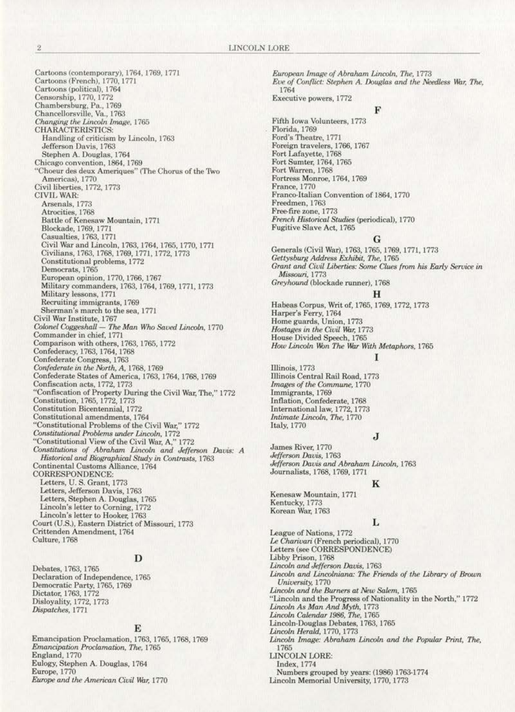Cartoons (contemporary), 1764, 1769, 1771 Cartoons (French), 1770, 1771 Cartoons (political), 1764 Censorship, 1770, 1772 Chambersburg, Pa., 1769 Chancellorsville, Va., 1763 Changing the Lincoln Image, 1765 **CHARACTERISTICS:** Handling of criticism by Lincoln, 1763 Jefferson Davis, 1763 Stephen A. Douglas, 1764 Chicago convention, 1864, 1769 'Choeur des deux Ameriques" (The Chorus of the Two Americas), 1770 Civil liberties, 1772, 1773 CIVIL WAR: Arsenals, 1773 Atrocities, 1768 Battle of Kenesaw Mountain, 1771 Blockade, 1769, 1771 Casualties, 1763, 1771 Civil War and Lincoln, 1763, 1764, 1765, 1770, 1771 Civilians, 1763, 1768, 1769, 1771, 1772, 1773 Constitutional problems, 1772 Democrats, 1765 European opinion, 1770, 1766, 1767 Military commanders, 1763, 1764, 1769, 1771, 1773 Military lessons, 1771 Recruiting immigrants, 1769 Sherman's march to the sea, 1771 Civil War Institute, 1767<br>Colonel Coggeshall — The Man Who Saved Lincoln, 1770 Commander in chief, 1771 Comparison with others, 1763, 1765, 1772 Confederacy, 1763, 1764, 1768<br>Confederate Congress, 1763 Confederate in the North, A, 1768, 1769 Confederate States of America, 1763, 1764, 1768, 1769 Confiscation acts, 1772, 1773 "Confiscation of Property During the Civil War, The," 1772 Constitution, 1765, 1772, 1773 Constitution Bicentennial, 1772 Constitutional amendments, 1764 "Constitutional Problems of the Civil War," 1772 Constitutional Problems under Lincoln, 1772 "Constitutional View of the Civil War, A," 1772<br>Constitutions of Abraham Lincoln and Jefferson Davis: A<br>Historical and Biographical Study in Contrasts, 1763 Continental Customs Alliance, 1764 **CORRESPONDENCE** Letters, U.S. Grant, 1773 Letters, Jefferson Davis, 1763 Letters, Stephen A. Douglas, 1765<br>Lincoln's letter to Corning, 1772 Lincoln's letter to Hooker, 1763 Court (U.S.), Eastern District of Missouri, 1773 Crittenden Amendment, 1764 Culture, 1768

# D

Debates, 1763, 1765. Declaration of Independence, 1765 Democratic Party, 1765, 1769 Dictator, 1763, 1772 Disloyality, 1772, 1773 Dispatches, 1771

#### E

Emancipation Proclamation, 1763, 1765, 1768, 1769 Emancipation Proclamation, The, 1765 England, 1770 Eulogy, Stephen A. Douglas, 1764 Europe, 1770 Europe and the American Civil War, 1770

European Image of Abraham Lincoln, The, 1773 Eve of Conflict: Stephen A. Douglas and the Needless War, The, 1764 Executive powers, 1772

#### F

Fifth Iowa Volunteers, 1773 Florida, 1769 Ford's Theatre, 1771 Foreign travelers, 1766, 1767 Fort Lafayette, 1768 Fort Sumter, 1764, 1765 Fort Warren, 1768 Fortress Monroe, 1764, 1769 France, 1770 Franco-Italian Convention of 1864, 1770 Freedmen, 1763 Free-fire zone, 1773 French Historical Studies (periodical), 1770 Fugitive Slave Act, 1765

#### G

Generals (Civil War), 1763, 1765, 1769, 1771, 1773 Gettysburg Address Exhibit, The, 1765 Grant and Civil Liberties: Some Clues from his Early Service in Missouri, 1773 Greyhound (blockade runner), 1768 н Habeas Corpus, Writ of, 1765, 1769, 1772, 1773 Harper's Ferry, 1764 Home guards, Union, 1773

Hostages in the Civil War, 1773

House Divided Speech, 1765<br>How Lincoln Won The War With Metaphors, 1765

# ı

Illinois, 1773 Illinois Central Rail Road, 1773 Images of the Commune, 1770 Immigrants, 1769 Inflation, Confederate, 1768 International law, 1772, 1773 Intimate Lincoln, The, 1770 **Italy**, 1770

J

James River, 1770 Jefferson Davis, 1763 Jefferson Davis and Abraham Lincoln, 1763 Journalists, 1768, 1769, 1771

#### K

Kenesaw Mountain, 1771 Kentucky, 1773 Korean War, 1763

# L

League of Nations, 1772 Le Charivari (French periodical), 1770 Letters (see CORRESPONDENCE) Libby Prison, 1768 Lincoln and Jefferson Davis, 1763 Lincoln and Lincolniana: The Friends of the Library of Brown University, 1770 Lincoln and the Burners at New Salem, 1765 "Lincoln and the Progress of Nationality in the North," 1772 Lincoln As Man And Myth, 1773 Lincoln Calendar 1986, The, 1765 Lincoln-Douglas Debates, 1763, 1765 Lincoln Herald, 1770, 1773 Lincoln Image: Abraham Lincoln and the Popular Print, The, 1765 LINCOLN LORE: Index, 1774 Numbers grouped by years: (1986) 1763-1774 Lincoln Memorial University, 1770, 1773

 $\bar{2}$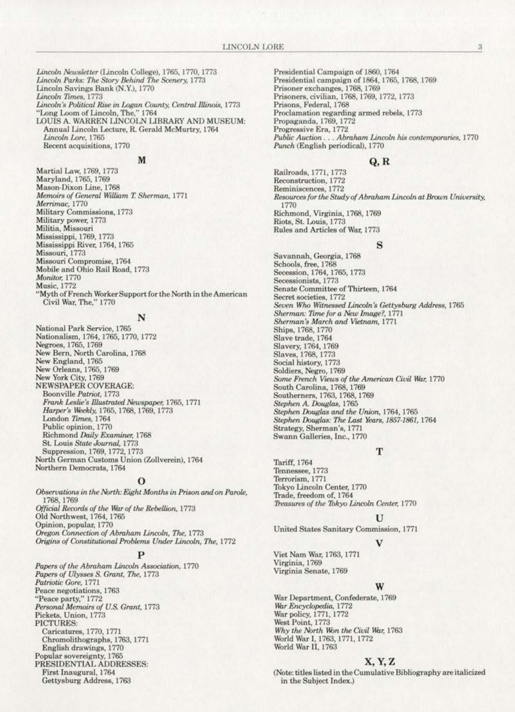Lincoln Newsletter (Lincoln College), 1765, 1770, 1773 Lincoln Parks: The Story Behind The Scenery, 1773 Lincoln Savings Bank (N.Y.), 1770 Lincoln Times, 1773 Lincoln's Political Rise in Logan County, Central Illinois, 1773 "Long Loom of Lincoln, The," 1764 LOUIS A. WARREN LINCOLN LIBRARY AND MUSEUM: Annual Lincoln Lecture, R. Gerald McMurtry, 1764 Lincoln Lore, 1765 Recent acquisitions, 1770

#### M

Martial Law, 1769, 1773 Maryland, 1765, 1769 Mason-Dixon Line, 1768 Memoirs of General William T. Sherman, 1771 Merrimac, 1770 Military Commissions, 1773 Military power, 1773 Militia, Missouri Mississippi, 1769, 1773 Mississippi River, 1764, 1765 Missouri, 1773 Missouri Compromise, 1764 Mobile and Ohio Rail Road, 1773 Monitor, 1770 Music, 1772

"Myth of French Worker Support for the North in the American Civil War, The," 1770

### N

National Park Service, 1765 Nationalism, 1764, 1765, 1770, 1772 Negroes, 1765, 1769 New Bern, North Carolina, 1768 New England, 1765 New Orleans, 1765, 1769 New York City, 1769 **NEWSPAPER COVERAGE:** Boonville Patriot, 1773 Frank Leslie's Illustrated Newspaper, 1765, 1771 Harper's Weekly, 1765, 1768, 1769, 1773 London Times, 1764 Public opinion, 1770 Richmond Daily Examiner, 1768 St. Louis State Journal, 1773 Suppression, 1769, 1772, 1773 North German Customs Union (Zollverein), 1764 Northern Democrats, 1764

#### 0

Observations in the North: Eight Months in Prison and on Parole, 1768, 1769 Official Records of the War of the Rebellion, 1773 Old Northwest, 1764, 1765 Opinion, popular, 1770 Oregon Connection of Abraham Lincoln, The, 1773 Origins of Constitutional Problems Under Lincoln, The, 1772

Papers of the Abraham Lincoln Association, 1770 Papers of Ulysses S. Grant, The, 1773 Patriotic Gore, 1771 Peace negotiations, 1763 "Peace party," 1772 Personal Memoirs of U.S. Grant, 1773 Pickets, Union, 1773 PICTURES: Caricatures, 1770, 1771 Chromolithographs, 1763, 1771 English drawings, 1770 Popular sovereignty, 1765<br>PRESIDENTIAL ADDRESSES: First Inaugural, 1764 Gettysburg Address, 1763

Presidential Campaign of 1860, 1764 Presidential campaign of 1864, 1765, 1768, 1769 Prisoner exchanges, 1768, 1769 Prisoners, civilian, 1768, 1769, 1772, 1773 Prisons, Federal, 1768 Proclamation regarding armed rebels, 1773 Propaganda, 1769, 1772 Progressive Era, 1772 Public Auction . . . Abraham Lincoln his contemporaries, 1770 Punch (English periodical), 1770

#### Q, R

Railroads, 1771, 1773 Reconstruction, 1772 Reminiscences, 1772 Resources for the Study of Abraham Lincoln at Brown University, 1770 Richmond, Virginia, 1768, 1769 Riots, St. Louis, 1773 Rules and Articles of War, 1773

#### s

Savannah, Georgia, 1768 Schools, free, 1768 Secession, 1764, 1765, 1773 Secessionists, 1773 Senate Committee of Thirteen, 1764 Secret societies, 1772 Seven Who Witnessed Lincoln's Gettysburg Address, 1765 Sherman: Time for a New Image?, 1771 Sherman's March and Vietnam, 1771 Ships, 1768, 1770 Slave trade, 1764 Slavery, 1764, 1769 Slaves, 1768, 1773 Social history, 1773 Soldiers, Negro, 1769 Some French Views of the American Civil War, 1770 South Carolina, 1768, 1769 Southerners, 1763, 1768, 1769 Stephen A. Douglas, 1765 Stephen Douglas and the Union, 1764, 1765 Stephen Douglas: The Last Years, 1857-1861, 1764 Strategy, Sherman's, 1771 Swann Galleries, Inc., 1770

#### т

Tariff, 1764 Tennessee, 1773 Terrorism, 1771 Tokyo Lincoln Center, 1770 Trade, freedom of, 1764 Treasures of the Tokyo Lincoln Center, 1770

#### U

United States Sanitary Commission, 1771

Viet Nam War, 1763, 1771 Virginia, 1769 Virginia Senate, 1769

War Department, Confederate, 1769 War Encyclopedia, 1772 War policy, 1771, 1772 West Point, 1773 Why the North Won the Civil War, 1763 World War I, 1763, 1771, 1772 World War II, 1763

#### X, Y, Z

(Note: titles listed in the Cumulative Bibliography are italicized in the Subject Index.)